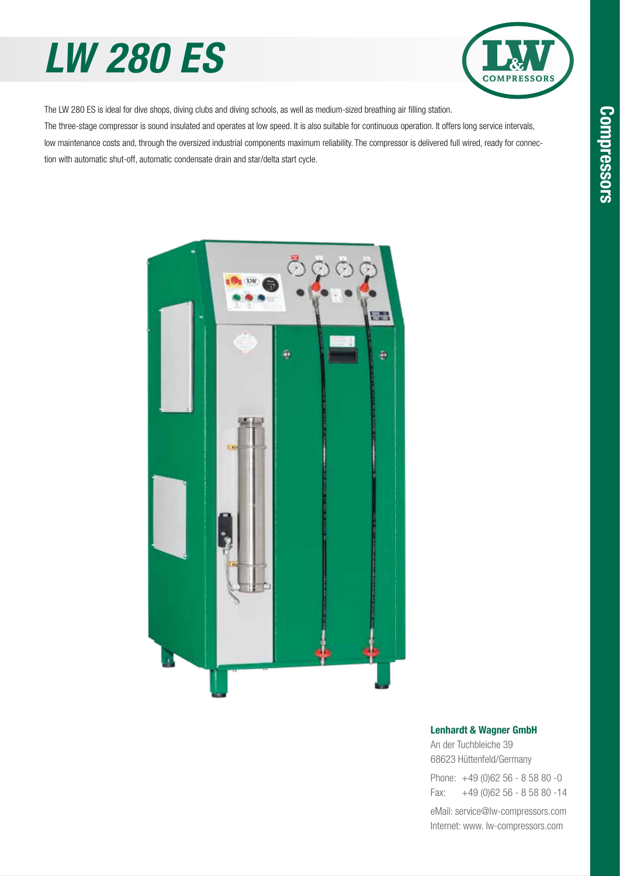# *LW 280 ES*



The LW 280 ES is ideal for dive shops, diving clubs and diving schools, as well as medium-sized breathing air filling station. The three-stage compressor is sound insulated and operates at low speed. It is also suitable for continuous operation. It offers long service intervals, low maintenance costs and, through the oversized industrial components maximum reliability. The compressor is delivered full wired, ready for connec-

tion with automatic shut-off, automatic condensate drain and star/delta start cycle.



#### Lenhardt & Wagner GmbH

An der Tuchbleiche 39 68623 Hüttenfeld / Germany Hüttenfeld/Germany

Phone: +49 (0)62 56 - 8 58 80 -0 Fax: +49 (0)62 56 - 8 58 80 -14 +49 (0)62 56 - 8 58 80 -14

eMail: service@lw-compressors.com Internet: www. lw-compressors.com